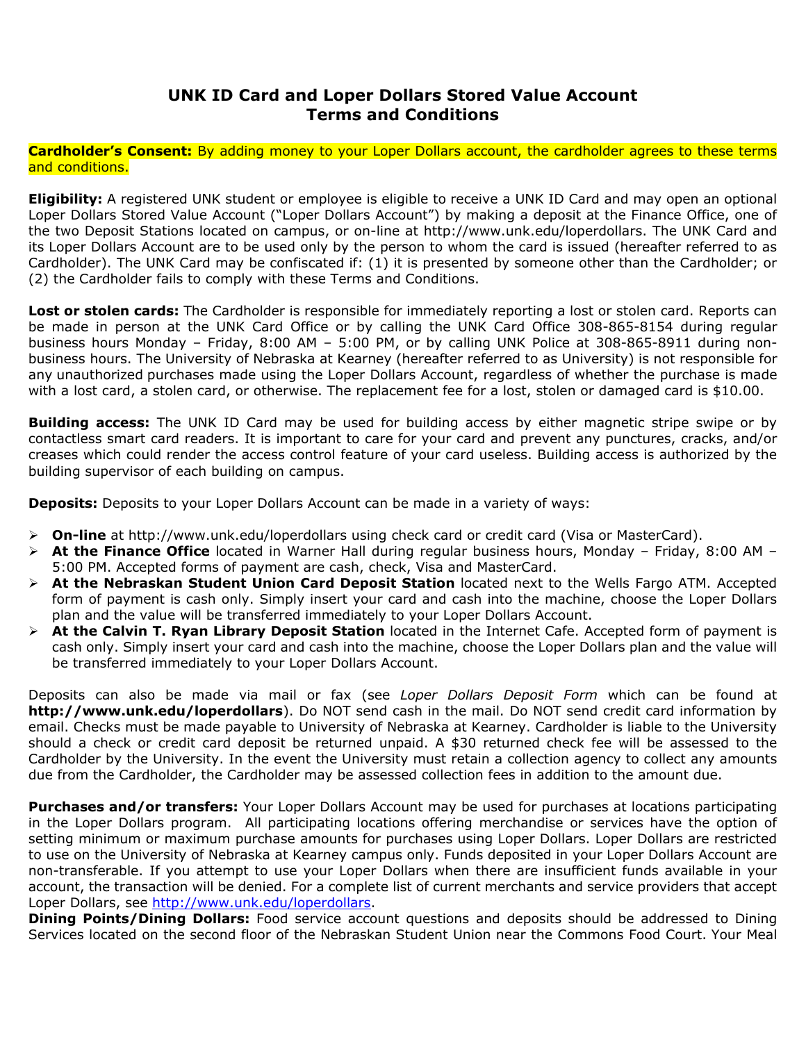## **UNK ID Card and Loper Dollars Stored Value Account Terms and Conditions**

**Cardholder's Consent:** By adding money to your Loper Dollars account, the cardholder agrees to these terms and conditions.

**Eligibility:** A registered UNK student or employee is eligible to receive a UNK ID Card and may open an optional Loper Dollars Stored Value Account ("Loper Dollars Account") by making a deposit at the Finance Office, one of the two Deposit Stations located on campus, or on-line at http://www.unk.edu/loperdollars. The UNK Card and its Loper Dollars Account are to be used only by the person to whom the card is issued (hereafter referred to as Cardholder). The UNK Card may be confiscated if: (1) it is presented by someone other than the Cardholder; or (2) the Cardholder fails to comply with these Terms and Conditions.

**Lost or stolen cards:** The Cardholder is responsible for immediately reporting a lost or stolen card. Reports can be made in person at the UNK Card Office or by calling the UNK Card Office 308-865-8154 during regular business hours Monday – Friday, 8:00 AM – 5:00 PM, or by calling UNK Police at 308-865-8911 during nonbusiness hours. The University of Nebraska at Kearney (hereafter referred to as University) is not responsible for any unauthorized purchases made using the Loper Dollars Account, regardless of whether the purchase is made with a lost card, a stolen card, or otherwise. The replacement fee for a lost, stolen or damaged card is \$10.00.

**Building access:** The UNK ID Card may be used for building access by either magnetic stripe swipe or by contactless smart card readers. It is important to care for your card and prevent any punctures, cracks, and/or creases which could render the access control feature of your card useless. Building access is authorized by the building supervisor of each building on campus.

**Deposits:** Deposits to your Loper Dollars Account can be made in a variety of ways:

- **On-line** at http://www.unk.edu/loperdollars using check card or credit card (Visa or MasterCard).
- **At the Finance Office** located in Warner Hall during regular business hours, Monday Friday, 8:00 AM 5:00 PM. Accepted forms of payment are cash, check, Visa and MasterCard.
- **At the Nebraskan Student Union Card Deposit Station** located next to the Wells Fargo ATM. Accepted form of payment is cash only. Simply insert your card and cash into the machine, choose the Loper Dollars plan and the value will be transferred immediately to your Loper Dollars Account.
- **At the Calvin T. Ryan Library Deposit Station** located in the Internet Cafe. Accepted form of payment is cash only. Simply insert your card and cash into the machine, choose the Loper Dollars plan and the value will be transferred immediately to your Loper Dollars Account.

Deposits can also be made via mail or fax (see *Loper Dollars Deposit Form* which can be found at **http://www.unk.edu/loperdollars**). Do NOT send cash in the mail. Do NOT send credit card information by email. Checks must be made payable to University of Nebraska at Kearney. Cardholder is liable to the University should a check or credit card deposit be returned unpaid. A \$30 returned check fee will be assessed to the Cardholder by the University. In the event the University must retain a collection agency to collect any amounts due from the Cardholder, the Cardholder may be assessed collection fees in addition to the amount due.

**Purchases and/or transfers:** Your Loper Dollars Account may be used for purchases at locations participating in the Loper Dollars program. All participating locations offering merchandise or services have the option of setting minimum or maximum purchase amounts for purchases using Loper Dollars. Loper Dollars are restricted to use on the University of Nebraska at Kearney campus only. Funds deposited in your Loper Dollars Account are non-transferable. If you attempt to use your Loper Dollars when there are insufficient funds available in your account, the transaction will be denied. For a complete list of current merchants and service providers that accept Loper Dollars, see http://www.unk.edu/loperdollars.

**Dining Points/Dining Dollars:** Food service account questions and deposits should be addressed to Dining Services located on the second floor of the Nebraskan Student Union near the Commons Food Court. Your Meal